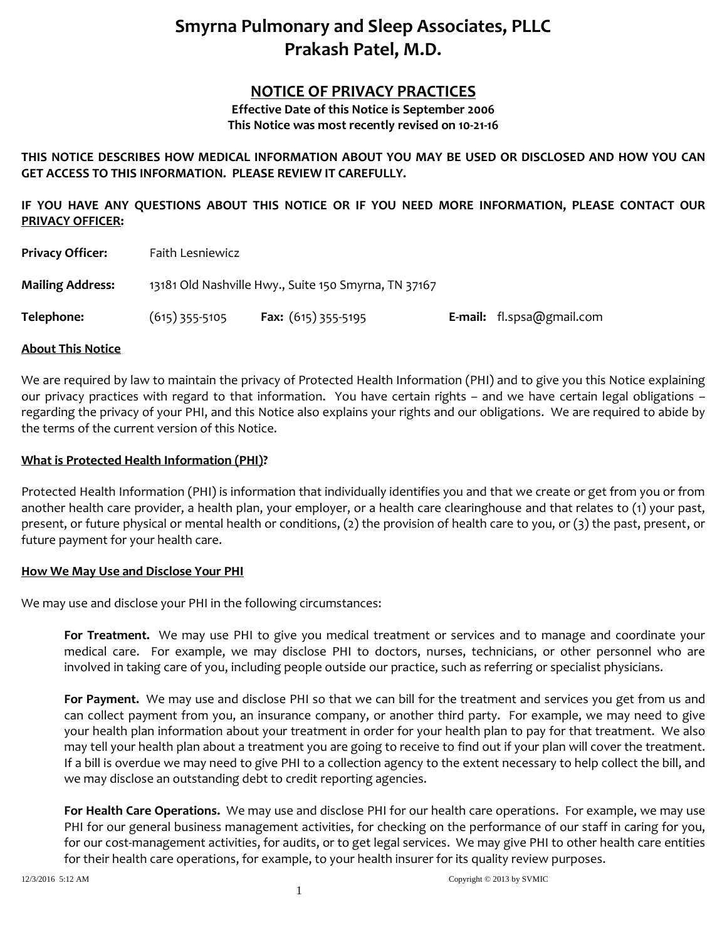# **Smyrna Pulmonary and Sleep Associates, PLLC Prakash Patel, M.D.**

# **NOTICE OF PRIVACY PRACTICES**

**Effective Date of this Notice is September 2006 This Notice was most recently revised on 10-21-16**

**THIS NOTICE DESCRIBES HOW MEDICAL INFORMATION ABOUT YOU MAY BE USED OR DISCLOSED AND HOW YOU CAN GET ACCESS TO THIS INFORMATION. PLEASE REVIEW IT CAREFULLY.**

**IF YOU HAVE ANY QUESTIONS ABOUT THIS NOTICE OR IF YOU NEED MORE INFORMATION, PLEASE CONTACT OUR PRIVACY OFFICER:**

| <b>Privacy Officer:</b> | Faith Lesniewicz                                     |                            |  |                           |
|-------------------------|------------------------------------------------------|----------------------------|--|---------------------------|
| <b>Mailing Address:</b> | 13181 Old Nashville Hwy., Suite 150 Smyrna, TN 37167 |                            |  |                           |
| Telephone:              | $(615)$ 355-5105                                     | <b>Fax:</b> (615) 355-5195 |  | E-mail: fl.spsa@gmail.com |

#### **About This Notice**

We are required by law to maintain the privacy of Protected Health Information (PHI) and to give you this Notice explaining our privacy practices with regard to that information. You have certain rights – and we have certain legal obligations – regarding the privacy of your PHI, and this Notice also explains your rights and our obligations. We are required to abide by the terms of the current version of this Notice.

#### **What is Protected Health Information (PHI)?**

Protected Health Information (PHI) is information that individually identifies you and that we create or get from you or from another health care provider, a health plan, your employer, or a health care clearinghouse and that relates to (1) your past, present, or future physical or mental health or conditions, (2) the provision of health care to you, or (3) the past, present, or future payment for your health care.

#### **How We May Use and Disclose Your PHI**

We may use and disclose your PHI in the following circumstances:

**For Treatment.** We may use PHI to give you medical treatment or services and to manage and coordinate your medical care. For example, we may disclose PHI to doctors, nurses, technicians, or other personnel who are involved in taking care of you, including people outside our practice, such as referring or specialist physicians.

**For Payment.** We may use and disclose PHI so that we can bill for the treatment and services you get from us and can collect payment from you, an insurance company, or another third party. For example, we may need to give your health plan information about your treatment in order for your health plan to pay for that treatment. We also may tell your health plan about a treatment you are going to receive to find out if your plan will cover the treatment. If a bill is overdue we may need to give PHI to a collection agency to the extent necessary to help collect the bill, and we may disclose an outstanding debt to credit reporting agencies.

**For Health Care Operations.** We may use and disclose PHI for our health care operations. For example, we may use PHI for our general business management activities, for checking on the performance of our staff in caring for you, for our cost-management activities, for audits, or to get legal services. We may give PHI to other health care entities for their health care operations, for example, to your health insurer for its quality review purposes.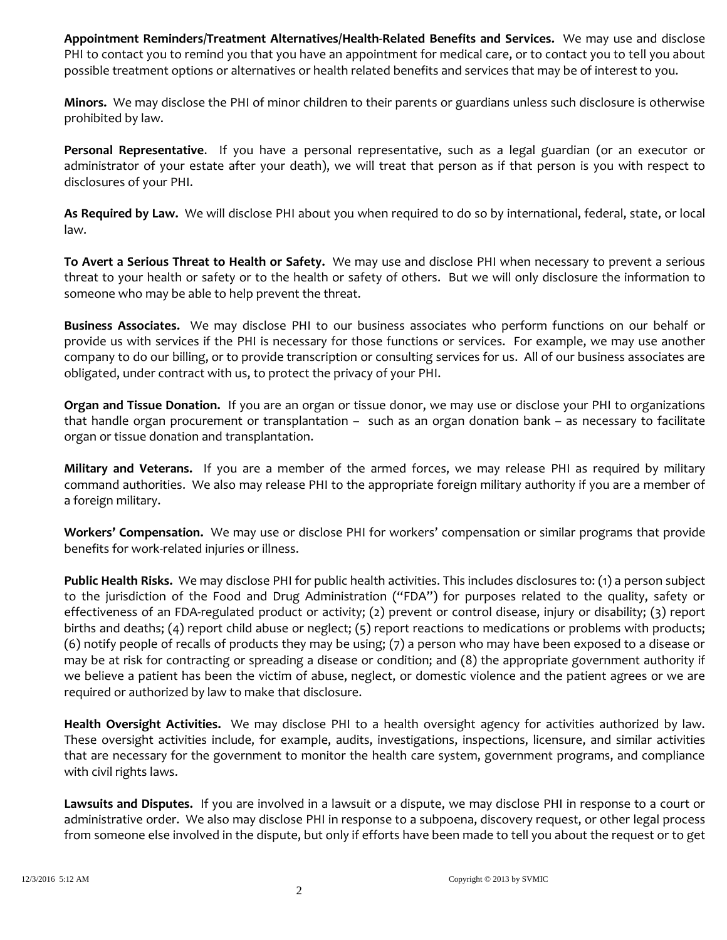**Appointment Reminders/Treatment Alternatives/Health-Related Benefits and Services.** We may use and disclose PHI to contact you to remind you that you have an appointment for medical care, or to contact you to tell you about possible treatment options or alternatives or health related benefits and services that may be of interest to you.

**Minors.** We may disclose the PHI of minor children to their parents or guardians unless such disclosure is otherwise prohibited by law.

**Personal Representative**. If you have a personal representative, such as a legal guardian (or an executor or administrator of your estate after your death), we will treat that person as if that person is you with respect to disclosures of your PHI.

**As Required by Law.** We will disclose PHI about you when required to do so by international, federal, state, or local law.

**To Avert a Serious Threat to Health or Safety.** We may use and disclose PHI when necessary to prevent a serious threat to your health or safety or to the health or safety of others. But we will only disclosure the information to someone who may be able to help prevent the threat.

**Business Associates.** We may disclose PHI to our business associates who perform functions on our behalf or provide us with services if the PHI is necessary for those functions or services. For example, we may use another company to do our billing, or to provide transcription or consulting services for us. All of our business associates are obligated, under contract with us, to protect the privacy of your PHI.

**Organ and Tissue Donation.** If you are an organ or tissue donor, we may use or disclose your PHI to organizations that handle organ procurement or transplantation – such as an organ donation bank – as necessary to facilitate organ or tissue donation and transplantation.

**Military and Veterans.** If you are a member of the armed forces, we may release PHI as required by military command authorities. We also may release PHI to the appropriate foreign military authority if you are a member of a foreign military.

**Workers' Compensation.** We may use or disclose PHI for workers' compensation or similar programs that provide benefits for work-related injuries or illness.

**Public Health Risks.** We may disclose PHI for public health activities. This includes disclosures to: (1) a person subject to the jurisdiction of the Food and Drug Administration ("FDA") for purposes related to the quality, safety or effectiveness of an FDA-regulated product or activity; (2) prevent or control disease, injury or disability; (3) report births and deaths; (4) report child abuse or neglect; (5) report reactions to medications or problems with products; (6) notify people of recalls of products they may be using; (7) a person who may have been exposed to a disease or may be at risk for contracting or spreading a disease or condition; and (8) the appropriate government authority if we believe a patient has been the victim of abuse, neglect, or domestic violence and the patient agrees or we are required or authorized by law to make that disclosure.

**Health Oversight Activities.** We may disclose PHI to a health oversight agency for activities authorized by law. These oversight activities include, for example, audits, investigations, inspections, licensure, and similar activities that are necessary for the government to monitor the health care system, government programs, and compliance with civil rights laws.

**Lawsuits and Disputes.** If you are involved in a lawsuit or a dispute, we may disclose PHI in response to a court or administrative order. We also may disclose PHI in response to a subpoena, discovery request, or other legal process from someone else involved in the dispute, but only if efforts have been made to tell you about the request or to get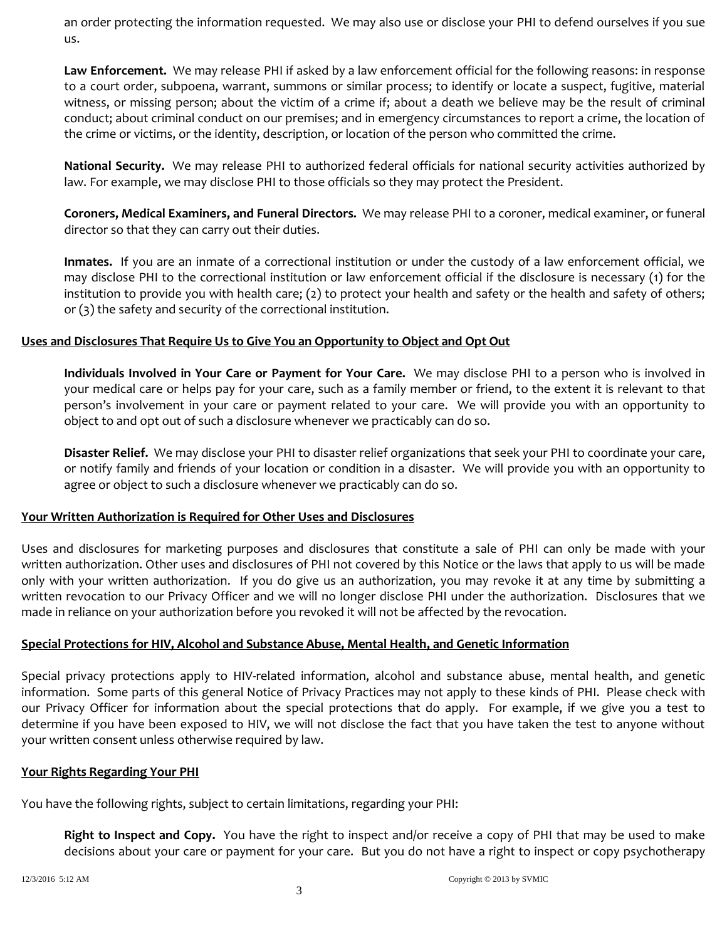an order protecting the information requested. We may also use or disclose your PHI to defend ourselves if you sue us.

**Law Enforcement.** We may release PHI if asked by a law enforcement official for the following reasons: in response to a court order, subpoena, warrant, summons or similar process; to identify or locate a suspect, fugitive, material witness, or missing person; about the victim of a crime if; about a death we believe may be the result of criminal conduct; about criminal conduct on our premises; and in emergency circumstances to report a crime, the location of the crime or victims, or the identity, description, or location of the person who committed the crime.

**National Security.** We may release PHI to authorized federal officials for national security activities authorized by law. For example, we may disclose PHI to those officials so they may protect the President.

**Coroners, Medical Examiners, and Funeral Directors.** We may release PHI to a coroner, medical examiner, or funeral director so that they can carry out their duties.

**Inmates.** If you are an inmate of a correctional institution or under the custody of a law enforcement official, we may disclose PHI to the correctional institution or law enforcement official if the disclosure is necessary (1) for the institution to provide you with health care; (2) to protect your health and safety or the health and safety of others; or (3) the safety and security of the correctional institution.

# **Uses and Disclosures That Require Us to Give You an Opportunity to Object and Opt Out**

**Individuals Involved in Your Care or Payment for Your Care.** We may disclose PHI to a person who is involved in your medical care or helps pay for your care, such as a family member or friend, to the extent it is relevant to that person's involvement in your care or payment related to your care. We will provide you with an opportunity to object to and opt out of such a disclosure whenever we practicably can do so.

**Disaster Relief.** We may disclose your PHI to disaster relief organizations that seek your PHI to coordinate your care, or notify family and friends of your location or condition in a disaster. We will provide you with an opportunity to agree or object to such a disclosure whenever we practicably can do so.

#### **Your Written Authorization is Required for Other Uses and Disclosures**

Uses and disclosures for marketing purposes and disclosures that constitute a sale of PHI can only be made with your written authorization. Other uses and disclosures of PHI not covered by this Notice or the laws that apply to us will be made only with your written authorization. If you do give us an authorization, you may revoke it at any time by submitting a written revocation to our Privacy Officer and we will no longer disclose PHI under the authorization. Disclosures that we made in reliance on your authorization before you revoked it will not be affected by the revocation.

#### **Special Protections for HIV, Alcohol and Substance Abuse, Mental Health, and Genetic Information**

Special privacy protections apply to HIV-related information, alcohol and substance abuse, mental health, and genetic information. Some parts of this general Notice of Privacy Practices may not apply to these kinds of PHI. Please check with our Privacy Officer for information about the special protections that do apply. For example, if we give you a test to determine if you have been exposed to HIV, we will not disclose the fact that you have taken the test to anyone without your written consent unless otherwise required by law.

#### **Your Rights Regarding Your PHI**

You have the following rights, subject to certain limitations, regarding your PHI:

**Right to Inspect and Copy.** You have the right to inspect and/or receive a copy of PHI that may be used to make decisions about your care or payment for your care. But you do not have a right to inspect or copy psychotherapy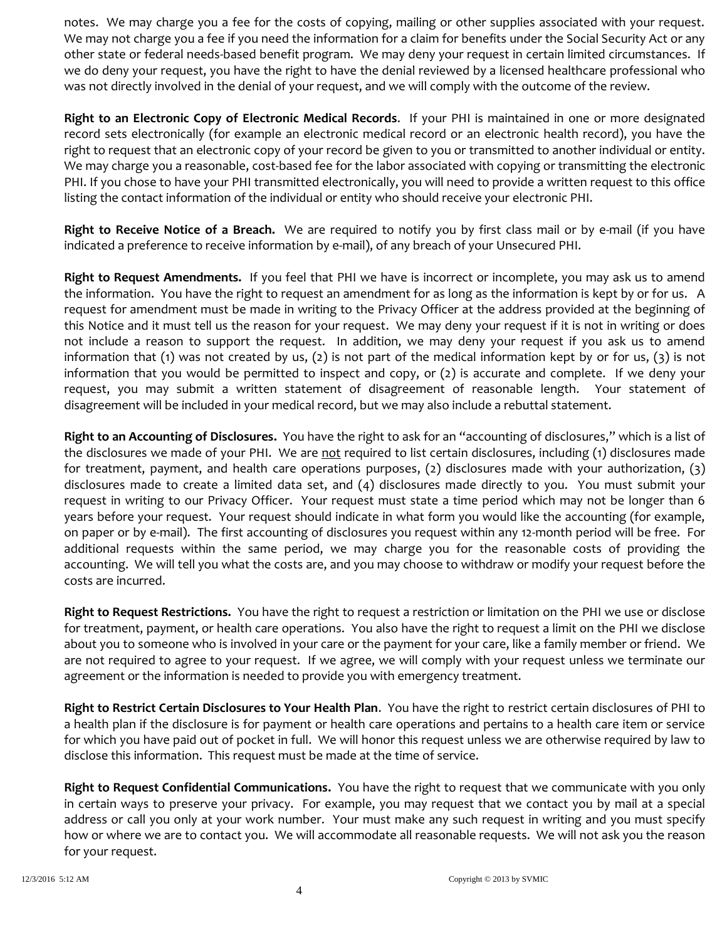notes. We may charge you a fee for the costs of copying, mailing or other supplies associated with your request. We may not charge you a fee if you need the information for a claim for benefits under the Social Security Act or any other state or federal needs-based benefit program. We may deny your request in certain limited circumstances. If we do deny your request, you have the right to have the denial reviewed by a licensed healthcare professional who was not directly involved in the denial of your request, and we will comply with the outcome of the review.

**Right to an Electronic Copy of Electronic Medical Records**. If your PHI is maintained in one or more designated record sets electronically (for example an electronic medical record or an electronic health record), you have the right to request that an electronic copy of your record be given to you or transmitted to another individual or entity. We may charge you a reasonable, cost-based fee for the labor associated with copying or transmitting the electronic PHI. If you chose to have your PHI transmitted electronically, you will need to provide a written request to this office listing the contact information of the individual or entity who should receive your electronic PHI.

**Right to Receive Notice of a Breach.** We are required to notify you by first class mail or by e-mail (if you have indicated a preference to receive information by e-mail), of any breach of your Unsecured PHI.

**Right to Request Amendments.** If you feel that PHI we have is incorrect or incomplete, you may ask us to amend the information. You have the right to request an amendment for as long as the information is kept by or for us. A request for amendment must be made in writing to the Privacy Officer at the address provided at the beginning of this Notice and it must tell us the reason for your request. We may deny your request if it is not in writing or does not include a reason to support the request. In addition, we may deny your request if you ask us to amend information that (1) was not created by us, (2) is not part of the medical information kept by or for us, (3) is not information that you would be permitted to inspect and copy, or (2) is accurate and complete. If we deny your request, you may submit a written statement of disagreement of reasonable length. Your statement of disagreement will be included in your medical record, but we may also include a rebuttal statement.

**Right to an Accounting of Disclosures.** You have the right to ask for an "accounting of disclosures," which is a list of the disclosures we made of your PHI. We are not required to list certain disclosures, including (1) disclosures made for treatment, payment, and health care operations purposes, (2) disclosures made with your authorization, (3) disclosures made to create a limited data set, and (4) disclosures made directly to you. You must submit your request in writing to our Privacy Officer. Your request must state a time period which may not be longer than 6 years before your request. Your request should indicate in what form you would like the accounting (for example, on paper or by e-mail). The first accounting of disclosures you request within any 12-month period will be free. For additional requests within the same period, we may charge you for the reasonable costs of providing the accounting. We will tell you what the costs are, and you may choose to withdraw or modify your request before the costs are incurred.

**Right to Request Restrictions.** You have the right to request a restriction or limitation on the PHI we use or disclose for treatment, payment, or health care operations. You also have the right to request a limit on the PHI we disclose about you to someone who is involved in your care or the payment for your care, like a family member or friend. We are not required to agree to your request. If we agree, we will comply with your request unless we terminate our agreement or the information is needed to provide you with emergency treatment.

**Right to Restrict Certain Disclosures to Your Health Plan**. You have the right to restrict certain disclosures of PHI to a health plan if the disclosure is for payment or health care operations and pertains to a health care item or service for which you have paid out of pocket in full. We will honor this request unless we are otherwise required by law to disclose this information. This request must be made at the time of service.

**Right to Request Confidential Communications.** You have the right to request that we communicate with you only in certain ways to preserve your privacy. For example, you may request that we contact you by mail at a special address or call you only at your work number. Your must make any such request in writing and you must specify how or where we are to contact you. We will accommodate all reasonable requests. We will not ask you the reason for your request.